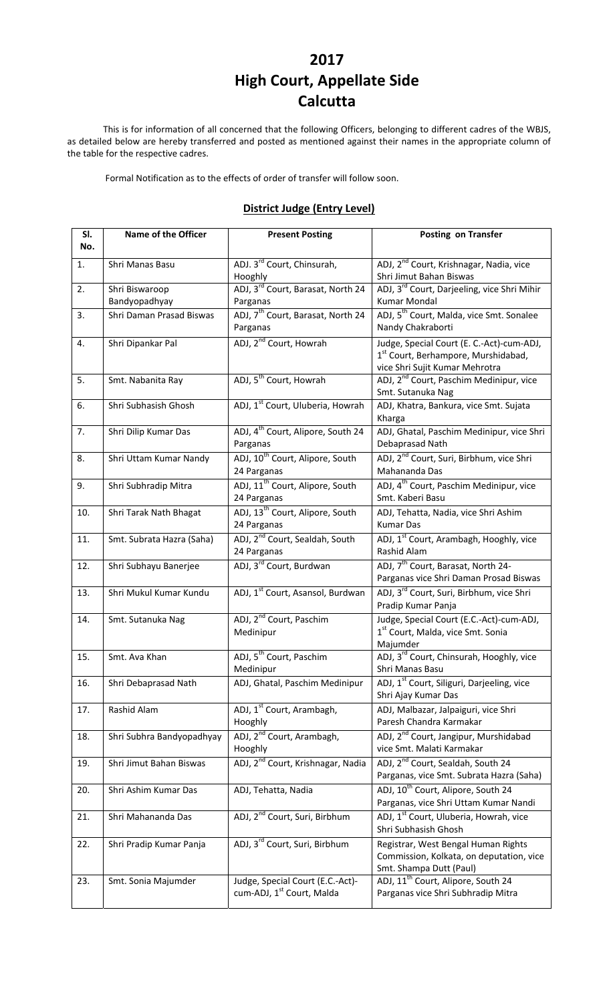# **2017 High Court, Appellate Side Calcutta**

This is for information of all concerned that the following Officers, belonging to different cadres of the WBJS, as detailed below are hereby transferred and posted as mentioned against their names in the appropriate column of the table for the respective cadres.

Formal Notification as to the effects of order of transfer will follow soon.

#### **District Judge (Entry Level)**

| SI.<br>No. | Name of the Officer             | <b>Present Posting</b>                                        | Posting on Transfer                                                                                                            |
|------------|---------------------------------|---------------------------------------------------------------|--------------------------------------------------------------------------------------------------------------------------------|
| 1.         | Shri Manas Basu                 | ADJ. 3 <sup>rd</sup> Court, Chinsurah,<br>Hooghly             | ADJ, 2 <sup>nd</sup> Court, Krishnagar, Nadia, vice<br>Shri Jimut Bahan Biswas                                                 |
| 2.         | Shri Biswaroop<br>Bandyopadhyay | ADJ, 3rd Court, Barasat, North 24<br>Parganas                 | ADJ, 3 <sup>rd</sup> Court, Darjeeling, vice Shri Mihir<br>Kumar Mondal                                                        |
| 3.         | Shri Daman Prasad Biswas        | ADJ, 7 <sup>th</sup> Court, Barasat, North 24<br>Parganas     | ADJ, 5 <sup>th</sup> Court, Malda, vice Smt. Sonalee<br>Nandy Chakraborti                                                      |
| 4.         | Shri Dipankar Pal               | ADJ, 2 <sup>nd</sup> Court, Howrah                            | Judge, Special Court (E. C.-Act)-cum-ADJ,<br>1 <sup>st</sup> Court, Berhampore, Murshidabad,<br>vice Shri Sujit Kumar Mehrotra |
| 5.         | Smt. Nabanita Ray               | ADJ, 5 <sup>th</sup> Court, Howrah                            | ADJ, 2 <sup>nd</sup> Court, Paschim Medinipur, vice<br>Smt. Sutanuka Nag                                                       |
| 6.         | Shri Subhasish Ghosh            | ADJ, 1 <sup>st</sup> Court, Uluberia, Howrah                  | ADJ, Khatra, Bankura, vice Smt. Sujata<br>Kharga                                                                               |
| 7.         | Shri Dilip Kumar Das            | ADJ, 4 <sup>th</sup> Court, Alipore, South 24<br>Parganas     | ADJ, Ghatal, Paschim Medinipur, vice Shri<br>Debaprasad Nath                                                                   |
| 8.         | Shri Uttam Kumar Nandy          | ADJ, 10 <sup>th</sup> Court, Alipore, South<br>24 Parganas    | ADJ, 2 <sup>nd</sup> Court, Suri, Birbhum, vice Shri<br>Mahananda Das                                                          |
| 9.         | Shri Subhradip Mitra            | ADJ, 11 <sup>th</sup> Court, Alipore, South<br>24 Parganas    | ADJ, 4 <sup>th</sup> Court, Paschim Medinipur, vice<br>Smt. Kaberi Basu                                                        |
| 10.        | Shri Tarak Nath Bhagat          | ADJ, 13 <sup>th</sup> Court, Alipore, South<br>24 Parganas    | ADJ, Tehatta, Nadia, vice Shri Ashim<br><b>Kumar Das</b>                                                                       |
| 11.        | Smt. Subrata Hazra (Saha)       | ADJ, 2 <sup>nd</sup> Court, Sealdah, South<br>24 Parganas     | ADJ, 1 <sup>st</sup> Court, Arambagh, Hooghly, vice<br>Rashid Alam                                                             |
| 12.        | Shri Subhayu Banerjee           | ADJ, 3rd Court, Burdwan                                       | ADJ, 7 <sup>th</sup> Court, Barasat, North 24-<br>Parganas vice Shri Daman Prosad Biswas                                       |
| 13.        | Shri Mukul Kumar Kundu          | ADJ, 1 <sup>st</sup> Court, Asansol, Burdwan                  | ADJ, 3 <sup>rd</sup> Court, Suri, Birbhum, vice Shri<br>Pradip Kumar Panja                                                     |
| 14.        | Smt. Sutanuka Nag               | ADJ, 2 <sup>nd</sup> Court, Paschim<br>Medinipur              | Judge, Special Court (E.C.-Act)-cum-ADJ,<br>1 <sup>st</sup> Court, Malda, vice Smt. Sonia<br>Majumder                          |
| 15.        | Smt. Ava Khan                   | ADJ, 5 <sup>th</sup> Court, Paschim<br>Medinipur              | ADJ, 3 <sup>rd</sup> Court, Chinsurah, Hooghly, vice<br>Shri Manas Basu                                                        |
| 16.        | Shri Debaprasad Nath            | ADJ, Ghatal, Paschim Medinipur                                | ADJ, 1 <sup>st</sup> Court, Siliguri, Darjeeling, vice<br>Shri Ajay Kumar Das                                                  |
| 17.        | Rashid Alam                     | ADJ, 1 <sup>st</sup> Court, Arambagh,<br>Hooghly              | ADJ, Malbazar, Jalpaiguri, vice Shri<br>Paresh Chandra Karmakar                                                                |
| 18.        | Shri Subhra Bandyopadhyay       | ADJ, 2 <sup>nd</sup> Court, Arambagh,<br>Hooghly              | ADJ, 2 <sup>nd</sup> Court, Jangipur, Murshidabad<br>vice Smt. Malati Karmakar                                                 |
| 19.        | Shri Jimut Bahan Biswas         | ADJ, 2 <sup>nd</sup> Court, Krishnagar, Nadia                 | ADJ, 2 <sup>nd</sup> Court, Sealdah, South 24<br>Parganas, vice Smt. Subrata Hazra (Saha)                                      |
| 20.        | Shri Ashim Kumar Das            | ADJ, Tehatta, Nadia                                           | ADJ, 10 <sup>th</sup> Court, Alipore, South 24<br>Parganas, vice Shri Uttam Kumar Nandi                                        |
| 21.        | Shri Mahananda Das              | ADJ, 2 <sup>nd</sup> Court, Suri, Birbhum                     | ADJ, 1 <sup>st</sup> Court, Uluberia, Howrah, vice<br>Shri Subhasish Ghosh                                                     |
| 22.        | Shri Pradip Kumar Panja         | ADJ, 3 <sup>rd</sup> Court, Suri, Birbhum                     | Registrar, West Bengal Human Rights<br>Commission, Kolkata, on deputation, vice<br>Smt. Shampa Dutt (Paul)                     |
| 23.        | Smt. Sonia Majumder             | Judge, Special Court (E.C.-Act)-<br>cum-ADJ, 1st Court, Malda | ADJ, 11 <sup>th</sup> Court, Alipore, South 24<br>Parganas vice Shri Subhradip Mitra                                           |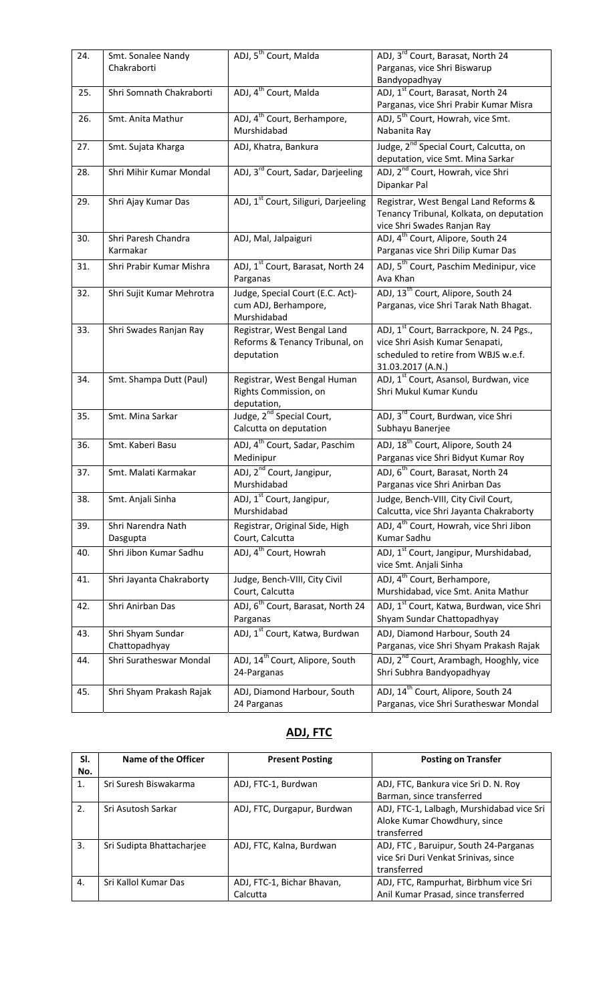| 24. | Smt. Sonalee Nandy<br>Chakraborti  | ADJ, 5 <sup>th</sup> Court, Malda                                           | ADJ, 3 <sup>rd</sup> Court, Barasat, North 24<br>Parganas, vice Shri Biswarup<br>Bandyopadhyay                                                       |
|-----|------------------------------------|-----------------------------------------------------------------------------|------------------------------------------------------------------------------------------------------------------------------------------------------|
| 25. | Shri Somnath Chakraborti           | ADJ, 4 <sup>th</sup> Court, Malda                                           | ADJ, 1st Court, Barasat, North 24<br>Parganas, vice Shri Prabir Kumar Misra                                                                          |
| 26. | Smt. Anita Mathur                  | ADJ, 4 <sup>th</sup> Court, Berhampore,<br>Murshidabad                      | ADJ, 5 <sup>th</sup> Court, Howrah, vice Smt.<br>Nabanita Ray                                                                                        |
| 27. | Smt. Sujata Kharga                 | ADJ, Khatra, Bankura                                                        | Judge, 2 <sup>nd</sup> Special Court, Calcutta, on<br>deputation, vice Smt. Mina Sarkar                                                              |
| 28. | Shri Mihir Kumar Mondal            | ADJ, 3 <sup>rd</sup> Court, Sadar, Darjeeling                               | ADJ, 2 <sup>nd</sup> Court, Howrah, vice Shri<br>Dipankar Pal                                                                                        |
| 29. | Shri Ajay Kumar Das                | ADJ, 1 <sup>st</sup> Court, Siliguri, Darjeeling                            | Registrar, West Bengal Land Reforms &<br>Tenancy Tribunal, Kolkata, on deputation<br>vice Shri Swades Ranjan Ray                                     |
| 30. | Shri Paresh Chandra<br>Karmakar    | ADJ, Mal, Jalpaiguri                                                        | ADJ, 4 <sup>th</sup> Court, Alipore, South 24<br>Parganas vice Shri Dilip Kumar Das                                                                  |
| 31. | Shri Prabir Kumar Mishra           | ADJ, 1 <sup>st</sup> Court, Barasat, North 24<br>Parganas                   | ADJ, 5 <sup>th</sup> Court, Paschim Medinipur, vice<br>Ava Khan                                                                                      |
| 32. | Shri Sujit Kumar Mehrotra          | Judge, Special Court (E.C. Act)-<br>cum ADJ, Berhampore,<br>Murshidabad     | ADJ, 13 <sup>th</sup> Court, Alipore, South 24<br>Parganas, vice Shri Tarak Nath Bhagat.                                                             |
| 33. | Shri Swades Ranjan Ray             | Registrar, West Bengal Land<br>Reforms & Tenancy Tribunal, on<br>deputation | ADJ, 1 <sup>st</sup> Court, Barrackpore, N. 24 Pgs.,<br>vice Shri Asish Kumar Senapati,<br>scheduled to retire from WBJS w.e.f.<br>31.03.2017 (A.N.) |
| 34. | Smt. Shampa Dutt (Paul)            | Registrar, West Bengal Human<br>Rights Commission, on<br>deputation,        | ADJ, 1 <sup>st</sup> Court, Asansol, Burdwan, vice<br>Shri Mukul Kumar Kundu                                                                         |
| 35. | Smt. Mina Sarkar                   | Judge, 2 <sup>nd</sup> Special Court,<br>Calcutta on deputation             | ADJ, 3 <sup>rd</sup> Court, Burdwan, vice Shri<br>Subhayu Banerjee                                                                                   |
| 36. | Smt. Kaberi Basu                   | ADJ, 4 <sup>th</sup> Court, Sadar, Paschim<br>Medinipur                     | ADJ, 18 <sup>th</sup> Court, Alipore, South 24<br>Parganas vice Shri Bidyut Kumar Roy                                                                |
| 37. | Smt. Malati Karmakar               | ADJ, 2 <sup>nd</sup> Court, Jangipur,<br>Murshidabad                        | ADJ, 6 <sup>th</sup> Court, Barasat, North 24<br>Parganas vice Shri Anirban Das                                                                      |
| 38. | Smt. Anjali Sinha                  | ADJ, 1 <sup>st</sup> Court, Jangipur,<br>Murshidabad                        | Judge, Bench-VIII, City Civil Court,<br>Calcutta, vice Shri Jayanta Chakraborty                                                                      |
| 39. | Shri Narendra Nath<br>Dasgupta     | Registrar, Original Side, High<br>Court, Calcutta                           | ADJ, 4 <sup>th</sup> Court, Howrah, vice Shri Jibon<br>Kumar Sadhu                                                                                   |
| 40. | Shri Jibon Kumar Sadhu             | ADJ, 4 <sup>th</sup> Court, Howrah                                          | ADJ, 1 <sup>st</sup> Court, Jangipur, Murshidabad,<br>vice Smt. Anjali Sinha                                                                         |
| 41. | Shri Jayanta Chakraborty           | Judge, Bench-VIII, City Civil<br>Court, Calcutta                            | ADJ, 4 <sup>th</sup> Court, Berhampore,<br>Murshidabad, vice Smt. Anita Mathur                                                                       |
| 42. | Shri Anirban Das                   | ADJ, 6 <sup>th</sup> Court, Barasat, North 24<br>Parganas                   | ADJ, 1 <sup>st</sup> Court, Katwa, Burdwan, vice Shri<br>Shyam Sundar Chattopadhyay                                                                  |
| 43. | Shri Shyam Sundar<br>Chattopadhyay | ADJ, 1 <sup>st</sup> Court, Katwa, Burdwan                                  | ADJ, Diamond Harbour, South 24<br>Parganas, vice Shri Shyam Prakash Rajak                                                                            |
| 44. | Shri Suratheswar Mondal            | ADJ, 14 <sup>th</sup> Court, Alipore, South<br>24-Parganas                  | ADJ, 2 <sup>nd</sup> Court, Arambagh, Hooghly, vice<br>Shri Subhra Bandyopadhyay                                                                     |
| 45. | Shri Shyam Prakash Rajak           | ADJ, Diamond Harbour, South<br>24 Parganas                                  | ADJ, 14 <sup>th</sup> Court, Alipore, South 24<br>Parganas, vice Shri Suratheswar Mondal                                                             |

## **ADJ, FTC**

| SI. | Name of the Officer       | <b>Present Posting</b>      | <b>Posting on Transfer</b>                |
|-----|---------------------------|-----------------------------|-------------------------------------------|
| No. |                           |                             |                                           |
| 1.  | Sri Suresh Biswakarma     | ADJ, FTC-1, Burdwan         | ADJ, FTC, Bankura vice Sri D. N. Roy      |
|     |                           |                             | Barman, since transferred                 |
| 2.  | Sri Asutosh Sarkar        | ADJ, FTC, Durgapur, Burdwan | ADJ, FTC-1, Lalbagh, Murshidabad vice Sri |
|     |                           |                             | Aloke Kumar Chowdhury, since              |
|     |                           |                             | transferred                               |
| 3.  | Sri Sudipta Bhattacharjee | ADJ, FTC, Kalna, Burdwan    | ADJ, FTC, Baruipur, South 24-Parganas     |
|     |                           |                             | vice Sri Duri Venkat Srinivas, since      |
|     |                           |                             | transferred                               |
| 4.  | Sri Kallol Kumar Das      | ADJ, FTC-1, Bichar Bhavan,  | ADJ, FTC, Rampurhat, Birbhum vice Sri     |
|     |                           | Calcutta                    | Anil Kumar Prasad, since transferred      |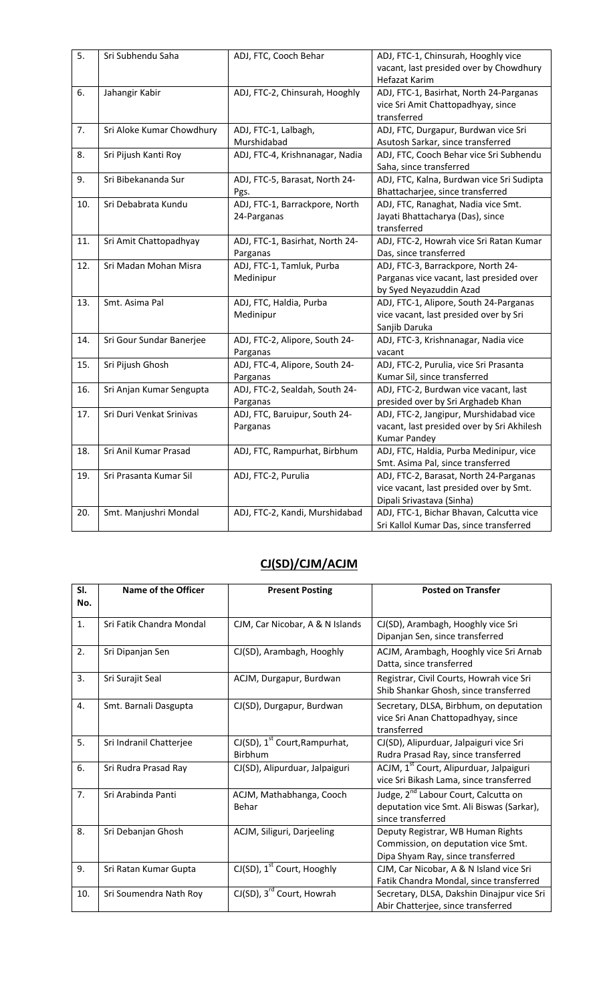| 5.  | Sri Subhendu Saha         | ADJ, FTC, Cooch Behar           | ADJ, FTC-1, Chinsurah, Hooghly vice        |
|-----|---------------------------|---------------------------------|--------------------------------------------|
|     |                           |                                 | vacant, last presided over by Chowdhury    |
|     |                           |                                 | Hefazat Karim                              |
| 6.  | Jahangir Kabir            | ADJ, FTC-2, Chinsurah, Hooghly  | ADJ, FTC-1, Basirhat, North 24-Parganas    |
|     |                           |                                 | vice Sri Amit Chattopadhyay, since         |
|     |                           |                                 | transferred                                |
| 7.  | Sri Aloke Kumar Chowdhury | ADJ, FTC-1, Lalbagh,            | ADJ, FTC, Durgapur, Burdwan vice Sri       |
|     |                           | Murshidabad                     | Asutosh Sarkar, since transferred          |
| 8.  | Sri Pijush Kanti Roy      | ADJ, FTC-4, Krishnanagar, Nadia | ADJ, FTC, Cooch Behar vice Sri Subhendu    |
|     |                           |                                 | Saha, since transferred                    |
| 9.  | Sri Bibekananda Sur       | ADJ, FTC-5, Barasat, North 24-  | ADJ, FTC, Kalna, Burdwan vice Sri Sudipta  |
|     |                           | Pgs.                            | Bhattacharjee, since transferred           |
| 10. | Sri Debabrata Kundu       | ADJ, FTC-1, Barrackpore, North  | ADJ, FTC, Ranaghat, Nadia vice Smt.        |
|     |                           | 24-Parganas                     | Jayati Bhattacharya (Das), since           |
|     |                           |                                 | transferred                                |
| 11. | Sri Amit Chattopadhyay    | ADJ, FTC-1, Basirhat, North 24- | ADJ, FTC-2, Howrah vice Sri Ratan Kumar    |
|     |                           | Parganas                        | Das, since transferred                     |
| 12. | Sri Madan Mohan Misra     | ADJ, FTC-1, Tamluk, Purba       | ADJ, FTC-3, Barrackpore, North 24-         |
|     |                           | Medinipur                       | Parganas vice vacant, last presided over   |
|     |                           |                                 | by Syed Neyazuddin Azad                    |
| 13. | Smt. Asima Pal            | ADJ, FTC, Haldia, Purba         | ADJ, FTC-1, Alipore, South 24-Parganas     |
|     |                           | Medinipur                       | vice vacant, last presided over by Sri     |
|     |                           |                                 | Sanjib Daruka                              |
| 14. | Sri Gour Sundar Banerjee  | ADJ, FTC-2, Alipore, South 24-  | ADJ, FTC-3, Krishnanagar, Nadia vice       |
|     |                           | Parganas                        | vacant                                     |
| 15. | Sri Pijush Ghosh          | ADJ, FTC-4, Alipore, South 24-  | ADJ, FTC-2, Purulia, vice Sri Prasanta     |
|     |                           | Parganas                        | Kumar Sil, since transferred               |
| 16. | Sri Anjan Kumar Sengupta  | ADJ, FTC-2, Sealdah, South 24-  | ADJ, FTC-2, Burdwan vice vacant, last      |
|     |                           | Parganas                        | presided over by Sri Arghadeb Khan         |
| 17. | Sri Duri Venkat Srinivas  | ADJ, FTC, Baruipur, South 24-   | ADJ, FTC-2, Jangipur, Murshidabad vice     |
|     |                           | Parganas                        | vacant, last presided over by Sri Akhilesh |
|     |                           |                                 | <b>Kumar Pandey</b>                        |
| 18. | Sri Anil Kumar Prasad     | ADJ, FTC, Rampurhat, Birbhum    | ADJ, FTC, Haldia, Purba Medinipur, vice    |
|     |                           |                                 | Smt. Asima Pal, since transferred          |
| 19. | Sri Prasanta Kumar Sil    | ADJ, FTC-2, Purulia             | ADJ, FTC-2, Barasat, North 24-Parganas     |
|     |                           |                                 | vice vacant, last presided over by Smt.    |
|     |                           |                                 | Dipali Srivastava (Sinha)                  |
| 20. | Smt. Manjushri Mondal     | ADJ, FTC-2, Kandi, Murshidabad  | ADJ, FTC-1, Bichar Bhavan, Calcutta vice   |
|     |                           |                                 | Sri Kallol Kumar Das, since transferred    |

## **CJ(SD)/CJM/ACJM**

| SI.<br>No. | <b>Name of the Officer</b> | <b>Present Posting</b>                               | <b>Posted on Transfer</b>                                                                                          |
|------------|----------------------------|------------------------------------------------------|--------------------------------------------------------------------------------------------------------------------|
| 1.         | Sri Fatik Chandra Mondal   | CJM, Car Nicobar, A & N Islands                      | CJ(SD), Arambagh, Hooghly vice Sri<br>Dipanjan Sen, since transferred                                              |
| 2.         | Sri Dipanjan Sen           | CJ(SD), Arambagh, Hooghly                            | ACJM, Arambagh, Hooghly vice Sri Arnab<br>Datta, since transferred                                                 |
| 3.         | Sri Surajit Seal           | ACJM, Durgapur, Burdwan                              | Registrar, Civil Courts, Howrah vice Sri<br>Shib Shankar Ghosh, since transferred                                  |
| 4.         | Smt. Barnali Dasgupta      | CJ(SD), Durgapur, Burdwan                            | Secretary, DLSA, Birbhum, on deputation<br>vice Sri Anan Chattopadhyay, since<br>transferred                       |
| 5.         | Sri Indranil Chatterjee    | CJ(SD), 1 <sup>st</sup> Court, Rampurhat,<br>Birbhum | CJ(SD), Alipurduar, Jalpaiguri vice Sri<br>Rudra Prasad Ray, since transferred                                     |
| 6.         | Sri Rudra Prasad Ray       | CJ(SD), Alipurduar, Jalpaiguri                       | ACJM, 1 <sup>st</sup> Court, Alipurduar, Jalpaiguri<br>vice Sri Bikash Lama, since transferred                     |
| 7.         | Sri Arabinda Panti         | ACJM, Mathabhanga, Cooch<br>Behar                    | Judge, 2 <sup>nd</sup> Labour Court, Calcutta on<br>deputation vice Smt. Ali Biswas (Sarkar),<br>since transferred |
| 8.         | Sri Debanjan Ghosh         | ACJM, Siliguri, Darjeeling                           | Deputy Registrar, WB Human Rights<br>Commission, on deputation vice Smt.<br>Dipa Shyam Ray, since transferred      |
| 9.         | Sri Ratan Kumar Gupta      | $CJ(SD)$ , 1 <sup>st</sup> Court, Hooghly            | CJM, Car Nicobar, A & N Island vice Sri<br>Fatik Chandra Mondal, since transferred                                 |
| 10.        | Sri Soumendra Nath Roy     | CJ(SD), 3 <sup>rd</sup> Court, Howrah                | Secretary, DLSA, Dakshin Dinajpur vice Sri<br>Abir Chatterjee, since transferred                                   |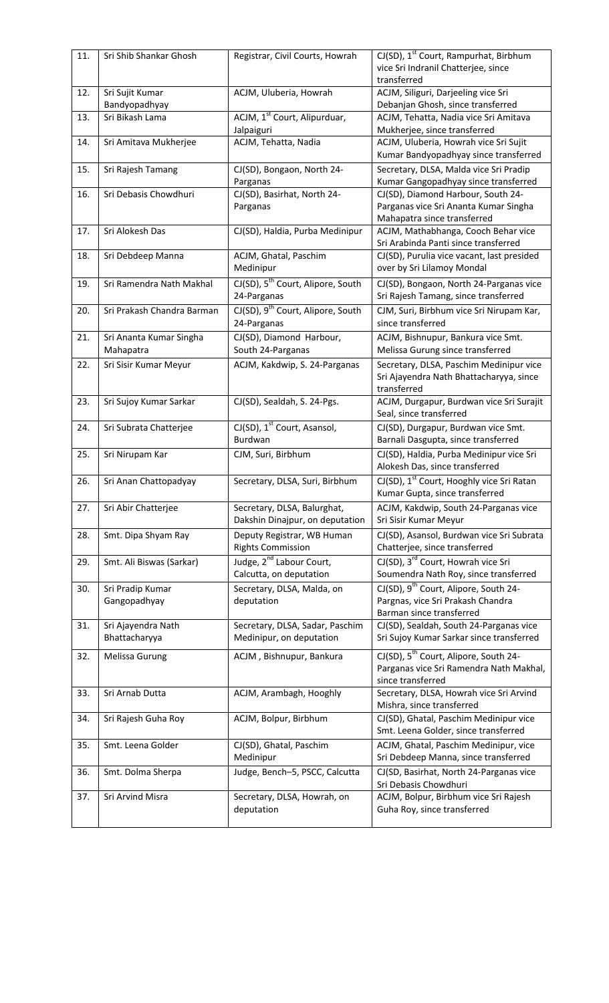| 11. | Sri Shib Shankar Ghosh               | Registrar, Civil Courts, Howrah                                 | CJ(SD), 1 <sup>st</sup> Court, Rampurhat, Birbhum<br>vice Sri Indranil Chatterjee, since<br>transferred            |
|-----|--------------------------------------|-----------------------------------------------------------------|--------------------------------------------------------------------------------------------------------------------|
| 12. | Sri Sujit Kumar<br>Bandyopadhyay     | ACJM, Uluberia, Howrah                                          | ACJM, Siliguri, Darjeeling vice Sri<br>Debanjan Ghosh, since transferred                                           |
| 13. | Sri Bikash Lama                      | ACJM, 1 <sup>st</sup> Court, Alipurduar,<br>Jalpaiguri          | ACJM, Tehatta, Nadia vice Sri Amitava<br>Mukherjee, since transferred                                              |
| 14. | Sri Amitava Mukherjee                | ACJM, Tehatta, Nadia                                            | ACJM, Uluberia, Howrah vice Sri Sujit<br>Kumar Bandyopadhyay since transferred                                     |
| 15. | Sri Rajesh Tamang                    | CJ(SD), Bongaon, North 24-<br>Parganas                          | Secretary, DLSA, Malda vice Sri Pradip<br>Kumar Gangopadhyay since transferred                                     |
| 16. | Sri Debasis Chowdhuri                | CJ(SD), Basirhat, North 24-<br>Parganas                         | CJ(SD), Diamond Harbour, South 24-<br>Parganas vice Sri Ananta Kumar Singha<br>Mahapatra since transferred         |
| 17. | Sri Alokesh Das                      | CJ(SD), Haldia, Purba Medinipur                                 | ACJM, Mathabhanga, Cooch Behar vice<br>Sri Arabinda Panti since transferred                                        |
| 18. | Sri Debdeep Manna                    | ACJM, Ghatal, Paschim<br>Medinipur                              | CJ(SD), Purulia vice vacant, last presided<br>over by Sri Lilamoy Mondal                                           |
| 19. | Sri Ramendra Nath Makhal             | CJ(SD), 5 <sup>th</sup> Court, Alipore, South<br>24-Parganas    | CJ(SD), Bongaon, North 24-Parganas vice<br>Sri Rajesh Tamang, since transferred                                    |
| 20. | Sri Prakash Chandra Barman           | CJ(SD), 9 <sup>th</sup> Court, Alipore, South<br>24-Parganas    | CJM, Suri, Birbhum vice Sri Nirupam Kar,<br>since transferred                                                      |
| 21. | Sri Ananta Kumar Singha<br>Mahapatra | CJ(SD), Diamond Harbour,<br>South 24-Parganas                   | ACJM, Bishnupur, Bankura vice Smt.<br>Melissa Gurung since transferred                                             |
| 22. | Sri Sisir Kumar Meyur                | ACJM, Kakdwip, S. 24-Parganas                                   | Secretary, DLSA, Paschim Medinipur vice<br>Sri Ajayendra Nath Bhattacharyya, since<br>transferred                  |
| 23. | Sri Sujoy Kumar Sarkar               | CJ(SD), Sealdah, S. 24-Pgs.                                     | ACJM, Durgapur, Burdwan vice Sri Surajit<br>Seal, since transferred                                                |
| 24. | Sri Subrata Chatterjee               | CJ(SD), 1 <sup>st</sup> Court, Asansol,<br>Burdwan              | CJ(SD), Durgapur, Burdwan vice Smt.<br>Barnali Dasgupta, since transferred                                         |
| 25. | Sri Nirupam Kar                      | CJM, Suri, Birbhum                                              | CJ(SD), Haldia, Purba Medinipur vice Sri<br>Alokesh Das, since transferred                                         |
| 26. | Sri Anan Chattopadyay                | Secretary, DLSA, Suri, Birbhum                                  | CJ(SD), 1 <sup>st</sup> Court, Hooghly vice Sri Ratan<br>Kumar Gupta, since transferred                            |
| 27. | Sri Abir Chatterjee                  | Secretary, DLSA, Balurghat,<br>Dakshin Dinajpur, on deputation  | ACJM, Kakdwip, South 24-Parganas vice<br>Sri Sisir Kumar Meyur                                                     |
| 28. | Smt. Dipa Shyam Ray                  | Deputy Registrar, WB Human<br><b>Rights Commission</b>          | CJ(SD), Asansol, Burdwan vice Sri Subrata<br>Chatterjee, since transferred                                         |
| 29. | Smt. Ali Biswas (Sarkar)             | Judge, 2 <sup>nd</sup> Labour Court,<br>Calcutta, on deputation | CJ(SD), 3 <sup>rd</sup> Court, Howrah vice Sri<br>Soumendra Nath Roy, since transferred                            |
| 30. | Sri Pradip Kumar<br>Gangopadhyay     | Secretary, DLSA, Malda, on<br>deputation                        | CJ(SD), 9 <sup>th</sup> Court, Alipore, South 24-<br>Pargnas, vice Sri Prakash Chandra<br>Barman since transferred |
| 31. | Sri Ajayendra Nath<br>Bhattacharyya  | Secretary, DLSA, Sadar, Paschim<br>Medinipur, on deputation     | CJ(SD), Sealdah, South 24-Parganas vice<br>Sri Sujoy Kumar Sarkar since transferred                                |
| 32. | Melissa Gurung                       | ACJM, Bishnupur, Bankura                                        | CJ(SD), 5 <sup>th</sup> Court, Alipore, South 24-<br>Parganas vice Sri Ramendra Nath Makhal,<br>since transferred  |
| 33. | Sri Arnab Dutta                      | ACJM, Arambagh, Hooghly                                         | Secretary, DLSA, Howrah vice Sri Arvind<br>Mishra, since transferred                                               |
| 34. | Sri Rajesh Guha Roy                  | ACJM, Bolpur, Birbhum                                           | CJ(SD), Ghatal, Paschim Medinipur vice<br>Smt. Leena Golder, since transferred                                     |
| 35. | Smt. Leena Golder                    | CJ(SD), Ghatal, Paschim<br>Medinipur                            | ACJM, Ghatal, Paschim Medinipur, vice<br>Sri Debdeep Manna, since transferred                                      |
| 36. | Smt. Dolma Sherpa                    | Judge, Bench-5, PSCC, Calcutta                                  | CJ(SD, Basirhat, North 24-Parganas vice<br>Sri Debasis Chowdhuri                                                   |
| 37. | Sri Arvind Misra                     | Secretary, DLSA, Howrah, on<br>deputation                       | ACJM, Bolpur, Birbhum vice Sri Rajesh<br>Guha Roy, since transferred                                               |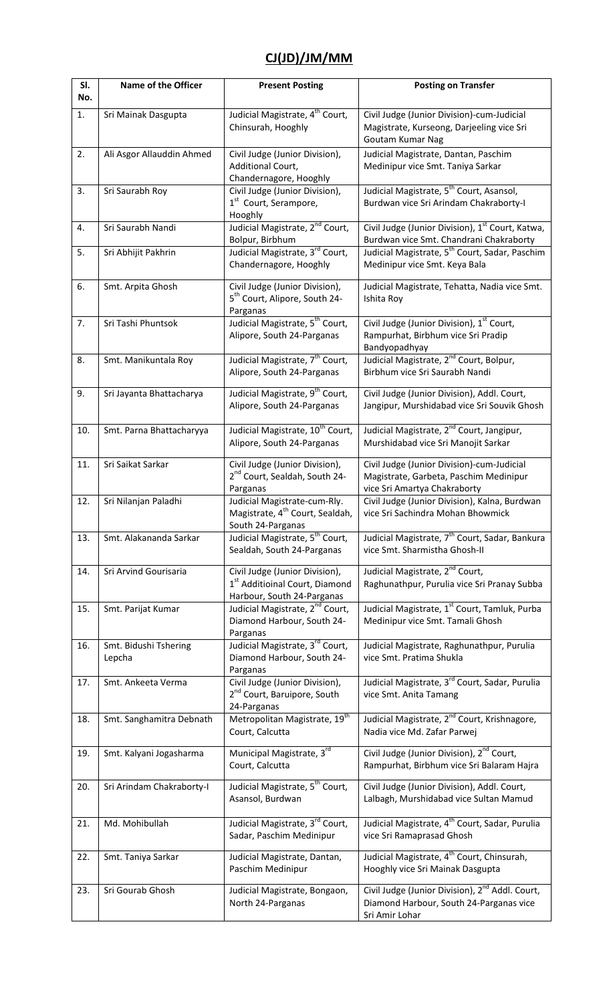#### **CJ(JD)/JM/MM**

| SI.<br>No. | <b>Name of the Officer</b>      | <b>Present Posting</b>                                                                                     | <b>Posting on Transfer</b>                                                                                               |
|------------|---------------------------------|------------------------------------------------------------------------------------------------------------|--------------------------------------------------------------------------------------------------------------------------|
| 1.         | Sri Mainak Dasgupta             | Judicial Magistrate, 4 <sup>th</sup> Court,<br>Chinsurah, Hooghly                                          | Civil Judge (Junior Division)-cum-Judicial<br>Magistrate, Kurseong, Darjeeling vice Sri<br>Goutam Kumar Nag              |
| 2.         | Ali Asgor Allauddin Ahmed       | Civil Judge (Junior Division),<br>Additional Court,<br>Chandernagore, Hooghly                              | Judicial Magistrate, Dantan, Paschim<br>Medinipur vice Smt. Taniya Sarkar                                                |
| 3.         | Sri Saurabh Roy                 | Civil Judge (Junior Division),<br>1 <sup>st</sup> Court, Serampore,<br>Hooghly                             | Judicial Magistrate, 5 <sup>th</sup> Court, Asansol,<br>Burdwan vice Sri Arindam Chakraborty-I                           |
| 4.         | Sri Saurabh Nandi               | Judicial Magistrate, 2 <sup>nd</sup> Court,<br>Bolpur, Birbhum                                             | Civil Judge (Junior Division), 1 <sup>st</sup> Court, Katwa,<br>Burdwan vice Smt. Chandrani Chakraborty                  |
| 5.         | Sri Abhijit Pakhrin             | Judicial Magistrate, 3 <sup>rd</sup> Court,<br>Chandernagore, Hooghly                                      | Judicial Magistrate, 5 <sup>th</sup> Court, Sadar, Paschim<br>Medinipur vice Smt. Keya Bala                              |
| 6.         | Smt. Arpita Ghosh               | Civil Judge (Junior Division),<br>5 <sup>th</sup> Court, Alipore, South 24-<br>Parganas                    | Judicial Magistrate, Tehatta, Nadia vice Smt.<br>Ishita Roy                                                              |
| 7.         | Sri Tashi Phuntsok              | Judicial Magistrate, 5 <sup>th</sup> Court,<br>Alipore, South 24-Parganas                                  | Civil Judge (Junior Division), 1st Court,<br>Rampurhat, Birbhum vice Sri Pradip<br>Bandyopadhyay                         |
| 8.         | Smt. Manikuntala Roy            | Judicial Magistrate, 7 <sup>th</sup> Court,<br>Alipore, South 24-Parganas                                  | Judicial Magistrate, 2 <sup>nd</sup> Court, Bolpur,<br>Birbhum vice Sri Saurabh Nandi                                    |
| 9.         | Sri Jayanta Bhattacharya        | Judicial Magistrate, 9 <sup>th</sup> Court,<br>Alipore, South 24-Parganas                                  | Civil Judge (Junior Division), Addl. Court,<br>Jangipur, Murshidabad vice Sri Souvik Ghosh                               |
| 10.        | Smt. Parna Bhattacharyya        | Judicial Magistrate, 10 <sup>th</sup> Court,<br>Alipore, South 24-Parganas                                 | Judicial Magistrate, 2 <sup>nd</sup> Court, Jangipur,<br>Murshidabad vice Sri Manojit Sarkar                             |
| 11.        | Sri Saikat Sarkar               | Civil Judge (Junior Division),<br>2 <sup>nd</sup> Court, Sealdah, South 24-<br>Parganas                    | Civil Judge (Junior Division)-cum-Judicial<br>Magistrate, Garbeta, Paschim Medinipur<br>vice Sri Amartya Chakraborty     |
| 12.        | Sri Nilanjan Paladhi            | Judicial Magistrate-cum-Rly.<br>Magistrate, 4 <sup>th</sup> Court, Sealdah,<br>South 24-Parganas           | Civil Judge (Junior Division), Kalna, Burdwan<br>vice Sri Sachindra Mohan Bhowmick                                       |
| 13.        | Smt. Alakananda Sarkar          | Judicial Magistrate, 5 <sup>th</sup> Court,<br>Sealdah, South 24-Parganas                                  | Judicial Magistrate, 7 <sup>th</sup> Court, Sadar, Bankura<br>vice Smt. Sharmistha Ghosh-II                              |
| 14.        | Sri Arvind Gourisaria           | Civil Judge (Junior Division),<br>1 <sup>st</sup> Additioinal Court, Diamond<br>Harbour, South 24-Parganas | Judicial Magistrate, 2 <sup>nd</sup> Court,<br>Raghunathpur, Purulia vice Sri Pranay Subba                               |
| 15.        | Smt. Parijat Kumar              | Judicial Magistrate, 2 <sup>nd</sup> Court,<br>Diamond Harbour, South 24-<br>Parganas                      | Judicial Magistrate, 1 <sup>st</sup> Court, Tamluk, Purba<br>Medinipur vice Smt. Tamali Ghosh                            |
| 16.        | Smt. Bidushi Tshering<br>Lepcha | Judicial Magistrate, 3rd Court,<br>Diamond Harbour, South 24-<br>Parganas                                  | Judicial Magistrate, Raghunathpur, Purulia<br>vice Smt. Pratima Shukla                                                   |
| 17.        | Smt. Ankeeta Verma              | Civil Judge (Junior Division),<br>2 <sup>nd</sup> Court, Baruipore, South<br>24-Parganas                   | Judicial Magistrate, 3 <sup>rd</sup> Court, Sadar, Purulia<br>vice Smt. Anita Tamang                                     |
| 18.        | Smt. Sanghamitra Debnath        | Metropolitan Magistrate, 19 <sup>th</sup><br>Court, Calcutta                                               | Judicial Magistrate, 2 <sup>nd</sup> Court, Krishnagore,<br>Nadia vice Md. Zafar Parwej                                  |
| 19.        | Smt. Kalyani Jogasharma         | Municipal Magistrate, 3rd<br>Court, Calcutta                                                               | Civil Judge (Junior Division), 2 <sup>nd</sup> Court,<br>Rampurhat, Birbhum vice Sri Balaram Hajra                       |
| 20.        | Sri Arindam Chakraborty-I       | Judicial Magistrate, 5 <sup>th</sup> Court,<br>Asansol, Burdwan                                            | Civil Judge (Junior Division), Addl. Court,<br>Lalbagh, Murshidabad vice Sultan Mamud                                    |
| 21.        | Md. Mohibullah                  | Judicial Magistrate, 3rd Court,<br>Sadar, Paschim Medinipur                                                | Judicial Magistrate, 4 <sup>th</sup> Court, Sadar, Purulia<br>vice Sri Ramaprasad Ghosh                                  |
| 22.        | Smt. Taniya Sarkar              | Judicial Magistrate, Dantan,<br>Paschim Medinipur                                                          | Judicial Magistrate, 4 <sup>th</sup> Court, Chinsurah,<br>Hooghly vice Sri Mainak Dasgupta                               |
| 23.        | Sri Gourab Ghosh                | Judicial Magistrate, Bongaon,<br>North 24-Parganas                                                         | Civil Judge (Junior Division), 2 <sup>nd</sup> Addl. Court,<br>Diamond Harbour, South 24-Parganas vice<br>Sri Amir Lohar |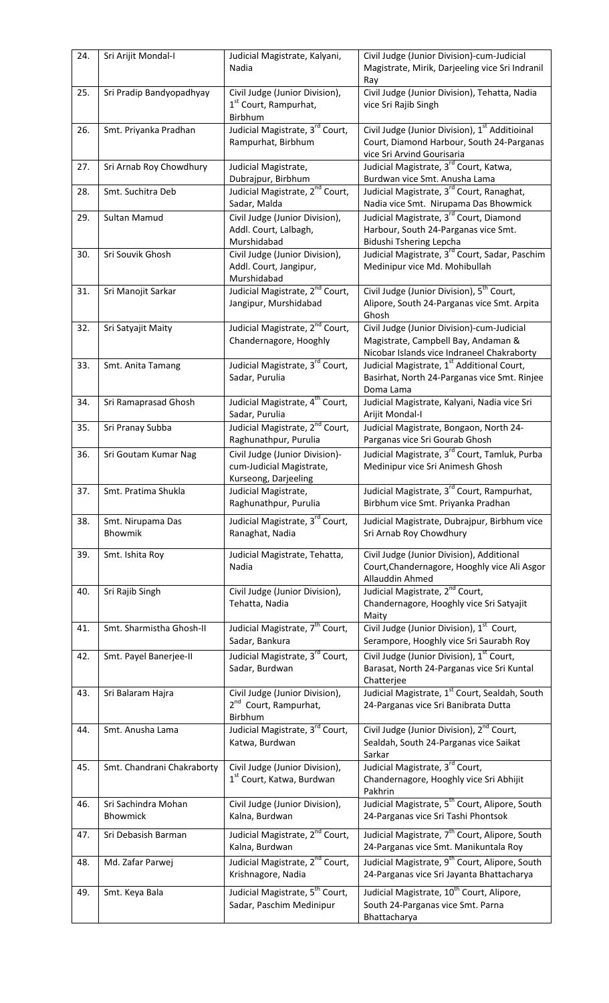| 24. | Sri Arijit Mondal-I             | Judicial Magistrate, Kalyani,<br>Nadia                                             | Civil Judge (Junior Division)-cum-Judicial<br>Magistrate, Mirik, Darjeeling vice Sri Indranil<br>Ray                                  |
|-----|---------------------------------|------------------------------------------------------------------------------------|---------------------------------------------------------------------------------------------------------------------------------------|
| 25. | Sri Pradip Bandyopadhyay        | Civil Judge (Junior Division),<br>1 <sup>st</sup> Court, Rampurhat,<br>Birbhum     | Civil Judge (Junior Division), Tehatta, Nadia<br>vice Sri Rajib Singh                                                                 |
| 26. | Smt. Priyanka Pradhan           | Judicial Magistrate, 3 <sup>rd</sup> Court,<br>Rampurhat, Birbhum                  | Civil Judge (Junior Division), 1 <sup>st</sup> Additioinal<br>Court, Diamond Harbour, South 24-Parganas<br>vice Sri Arvind Gourisaria |
| 27. | Sri Arnab Roy Chowdhury         | Judicial Magistrate,<br>Dubrajpur, Birbhum                                         | Judicial Magistrate, 3 <sup>rd</sup> Court, Katwa,<br>Burdwan vice Smt. Anusha Lama                                                   |
| 28. | Smt. Suchitra Deb               | Judicial Magistrate, 2 <sup>nd</sup> Court,<br>Sadar, Malda                        | Judicial Magistrate, 3 <sup>rd</sup> Court, Ranaghat,<br>Nadia vice Smt. Nirupama Das Bhowmick                                        |
| 29. | Sultan Mamud                    | Civil Judge (Junior Division),                                                     | Judicial Magistrate, 3 <sup>rd</sup> Court, Diamond                                                                                   |
|     |                                 | Addl. Court, Lalbagh,<br>Murshidabad                                               | Harbour, South 24-Parganas vice Smt.<br>Bidushi Tshering Lepcha                                                                       |
| 30. | Sri Souvik Ghosh                | Civil Judge (Junior Division),<br>Addl. Court, Jangipur,<br>Murshidabad            | Judicial Magistrate, 3 <sup>rd</sup> Court, Sadar, Paschim<br>Medinipur vice Md. Mohibullah                                           |
| 31. | Sri Manojit Sarkar              | Judicial Magistrate, 2 <sup>nd</sup> Court,<br>Jangipur, Murshidabad               | Civil Judge (Junior Division), 5 <sup>th</sup> Court,<br>Alipore, South 24-Parganas vice Smt. Arpita<br>Ghosh                         |
| 32. | Sri Satyajit Maity              | Judicial Magistrate, 2 <sup>nd</sup> Court,<br>Chandernagore, Hooghly              | Civil Judge (Junior Division)-cum-Judicial<br>Magistrate, Campbell Bay, Andaman &<br>Nicobar Islands vice Indraneel Chakraborty       |
| 33. | Smt. Anita Tamang               | Judicial Magistrate, 3 <sup>rd</sup> Court,<br>Sadar, Purulia                      | Judicial Magistrate, 1 <sup>st</sup> Additional Court,<br>Basirhat, North 24-Parganas vice Smt. Rinjee<br>Doma Lama                   |
| 34. | Sri Ramaprasad Ghosh            | Judicial Magistrate, 4 <sup>th</sup> Court,<br>Sadar, Purulia                      | Judicial Magistrate, Kalyani, Nadia vice Sri<br>Arijit Mondal-I                                                                       |
| 35. | Sri Pranay Subba                | Judicial Magistrate, 2 <sup>nd</sup> Court,<br>Raghunathpur, Purulia               | Judicial Magistrate, Bongaon, North 24-<br>Parganas vice Sri Gourab Ghosh                                                             |
| 36. | Sri Goutam Kumar Nag            | Civil Judge (Junior Division)-<br>cum-Judicial Magistrate,<br>Kurseong, Darjeeling | Judicial Magistrate, 3 <sup>rd</sup> Court, Tamluk, Purba<br>Medinipur vice Sri Animesh Ghosh                                         |
| 37. | Smt. Pratima Shukla             | Judicial Magistrate,<br>Raghunathpur, Purulia                                      | Judicial Magistrate, 3 <sup>rd</sup> Court, Rampurhat,<br>Birbhum vice Smt. Priyanka Pradhan                                          |
| 38. | Smt. Nirupama Das<br>Bhowmik    | Judicial Magistrate, 3rd Court,<br>Ranaghat, Nadia                                 | Judicial Magistrate, Dubrajpur, Birbhum vice<br>Sri Arnab Roy Chowdhury                                                               |
| 39. | Smt. Ishita Roy                 | Judicial Magistrate, Tehatta,<br>Nadia                                             | Civil Judge (Junior Division), Additional<br>Court, Chandernagore, Hooghly vice Ali Asgor<br>Allauddin Ahmed                          |
| 40. | Sri Rajib Singh                 | Civil Judge (Junior Division),<br>Tehatta, Nadia                                   | Judicial Magistrate, 2 <sup>nd</sup> Court,<br>Chandernagore, Hooghly vice Sri Satyajit<br>Maity                                      |
| 41. | Smt. Sharmistha Ghosh-II        | Judicial Magistrate, 7 <sup>th</sup> Court,<br>Sadar, Bankura                      | Civil Judge (Junior Division), 1 <sup>st</sup> Court,<br>Serampore, Hooghly vice Sri Saurabh Roy                                      |
| 42. | Smt. Payel Banerjee-II          | Judicial Magistrate, 3 <sup>rd</sup> Court,<br>Sadar, Burdwan                      | Civil Judge (Junior Division), 1 <sup>st</sup> Court,<br>Barasat, North 24-Parganas vice Sri Kuntal<br>Chatterjee                     |
| 43. | Sri Balaram Hajra               | Civil Judge (Junior Division),<br>2 <sup>nd</sup> Court, Rampurhat,<br>Birbhum     | Judicial Magistrate, 1 <sup>st</sup> Court, Sealdah, South<br>24-Parganas vice Sri Banibrata Dutta                                    |
| 44. | Smt. Anusha Lama                | Judicial Magistrate, 3rd Court,<br>Katwa, Burdwan                                  | Civil Judge (Junior Division), 2 <sup>nd</sup> Court,<br>Sealdah, South 24-Parganas vice Saikat<br>Sarkar                             |
| 45. | Smt. Chandrani Chakraborty      | Civil Judge (Junior Division),<br>1 <sup>st</sup> Court, Katwa, Burdwan            | Judicial Magistrate, 3rd Court,<br>Chandernagore, Hooghly vice Sri Abhijit<br>Pakhrin                                                 |
| 46. | Sri Sachindra Mohan<br>Bhowmick | Civil Judge (Junior Division),<br>Kalna, Burdwan                                   | Judicial Magistrate, 5 <sup>th</sup> Court, Alipore, South<br>24-Parganas vice Sri Tashi Phontsok                                     |
| 47. | Sri Debasish Barman             | Judicial Magistrate, 2 <sup>nd</sup> Court,<br>Kalna, Burdwan                      | Judicial Magistrate, 7 <sup>th</sup> Court, Alipore, South<br>24-Parganas vice Smt. Manikuntala Roy                                   |
| 48. | Md. Zafar Parwej                | Judicial Magistrate, 2 <sup>nd</sup> Court,<br>Krishnagore, Nadia                  | Judicial Magistrate, 9 <sup>th</sup> Court, Alipore, South<br>24-Parganas vice Sri Jayanta Bhattacharya                               |
| 49. | Smt. Keya Bala                  | Judicial Magistrate, 5 <sup>th</sup> Court,<br>Sadar, Paschim Medinipur            | Judicial Magistrate, 10 <sup>th</sup> Court, Alipore,<br>South 24-Parganas vice Smt. Parna<br>Bhattacharya                            |